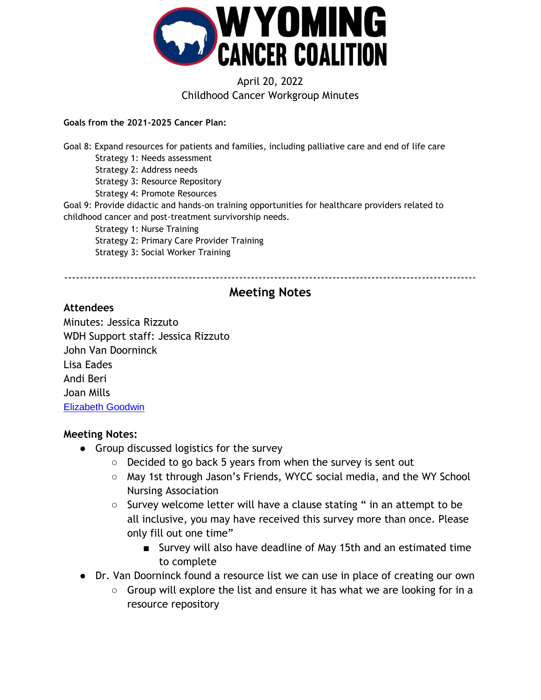

# April 20, 2022 Childhood Cancer Workgroup Minutes

#### **Goals from the 2021-2025 Cancer Plan:**

Goal 8: Expand resources for patients and families, including palliative care and end of life care Strategy 1: Needs assessment Strategy 2: Address needs Strategy 3: Resource Repository Strategy 4: Promote Resources Goal 9: Provide didactic and hands-on training opportunities for healthcare providers related to childhood cancer and post-treatment survivorship needs. Strategy 1: Nurse Training Strategy 2: Primary Care Provider Training Strategy 3: Social Worker Training

----------------------------------------------------------------------------------------------------------

# **Meeting Notes**

#### **Attendees**

Minutes: Jessica Rizzuto WDH Support staff: Jessica Rizzuto John Van Doorninck Lisa Eades Andi Beri Joan Mills [Elizabeth Goodwin](mailto:elizabethagoodwin@gmail.com)

### **Meeting Notes:**

- Group discussed logistics for the survey
	- Decided to go back 5 years from when the survey is sent out
	- May 1st through Jason's Friends, WYCC social media, and the WY School Nursing Association
	- Survey welcome letter will have a clause stating " in an attempt to be all inclusive, you may have received this survey more than once. Please only fill out one time"
		- Survey will also have deadline of May 15th and an estimated time to complete
- Dr. Van Doorninck found a resource list we can use in place of creating our own
	- Group will explore the list and ensure it has what we are looking for in a resource repository